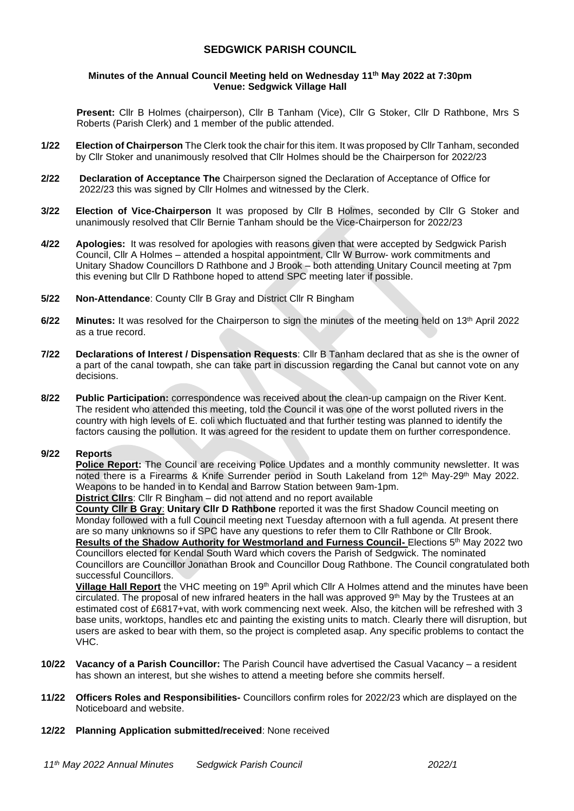## **SEDGWICK PARISH COUNCIL**

#### **Minutes of the Annual Council Meeting held on Wednesday 11 th May 2022 at 7:30pm Venue: Sedgwick Village Hall**

**Present:** Cllr B Holmes (chairperson), Cllr B Tanham (Vice), Cllr G Stoker, Cllr D Rathbone, Mrs S Roberts (Parish Clerk) and 1 member of the public attended.

- **1/22 Election of Chairperson** The Clerk took the chair for this item. It was proposed by Cllr Tanham, seconded by Cllr Stoker and unanimously resolved that Cllr Holmes should be the Chairperson for 2022/23
- **2/22 Declaration of Acceptance The** Chairperson signed the Declaration of Acceptance of Office for 2022/23 this was signed by Cllr Holmes and witnessed by the Clerk.
- **3/22 Election of Vice-Chairperson** It was proposed by Cllr B Holmes, seconded by Cllr G Stoker and unanimously resolved that Cllr Bernie Tanham should be the Vice-Chairperson for 2022/23
- **4/22 Apologies:** It was resolved for apologies with reasons given that were accepted by Sedgwick Parish Council, Cllr A Holmes – attended a hospital appointment, Cllr W Burrow- work commitments and Unitary Shadow Councillors D Rathbone and J Brook – both attending Unitary Council meeting at 7pm this evening but Cllr D Rathbone hoped to attend SPC meeting later if possible.
- **5/22 Non-Attendance**: County Cllr B Gray and District Cllr R Bingham
- **6/22 Minutes:** It was resolved for the Chairperson to sign the minutes of the meeting held on 13th April 2022 as a true record.
- **7/22 Declarations of Interest / Dispensation Requests**: Cllr B Tanham declared that as she is the owner of a part of the canal towpath, she can take part in discussion regarding the Canal but cannot vote on any decisions.
- **8/22 Public Participation:** correspondence was received about the clean-up campaign on the River Kent. The resident who attended this meeting, told the Council it was one of the worst polluted rivers in the country with high levels of E. coli which fluctuated and that further testing was planned to identify the factors causing the pollution. It was agreed for the resident to update them on further correspondence.

#### **9/22 Reports**

**Police Report:** The Council are receiving Police Updates and a monthly community newsletter. It was noted there is a Firearms & Knife Surrender period in South Lakeland from 12<sup>th</sup> May-29<sup>th</sup> May 2022. Weapons to be handed in to Kendal and Barrow Station between 9am-1pm.

**District Cllrs**: Cllr R Bingham – did not attend and no report available

**County Cllr B Gray**: **Unitary Cllr D Rathbone** reported it was the first Shadow Council meeting on Monday followed with a full Council meeting next Tuesday afternoon with a full agenda. At present there are so many unknowns so if SPC have any questions to refer them to Cllr Rathbone or Cllr Brook. Results of the Shadow Authority for Westmorland and Furness Council- Elections 5<sup>th</sup> May 2022 two Councillors elected for Kendal South Ward which covers the Parish of Sedgwick. The nominated Councillors are Councillor Jonathan Brook and Councillor Doug Rathbone. The Council congratulated both successful Councillors.

**Village Hall Report** the VHC meeting on 19<sup>th</sup> April which Cllr A Holmes attend and the minutes have been circulated. The proposal of new infrared heaters in the hall was approved 9th May by the Trustees at an estimated cost of £6817+vat, with work commencing next week. Also, the kitchen will be refreshed with 3 base units, worktops, handles etc and painting the existing units to match. Clearly there will disruption, but users are asked to bear with them, so the project is completed asap. Any specific problems to contact the VHC.

- **10/22 Vacancy of a Parish Councillor:** The Parish Council have advertised the Casual Vacancy a resident has shown an interest, but she wishes to attend a meeting before she commits herself.
- **11/22 Officers Roles and Responsibilities-** Councillors confirm roles for 2022/23 which are displayed on the Noticeboard and website.
- **12/22 Planning Application submitted/received**: None received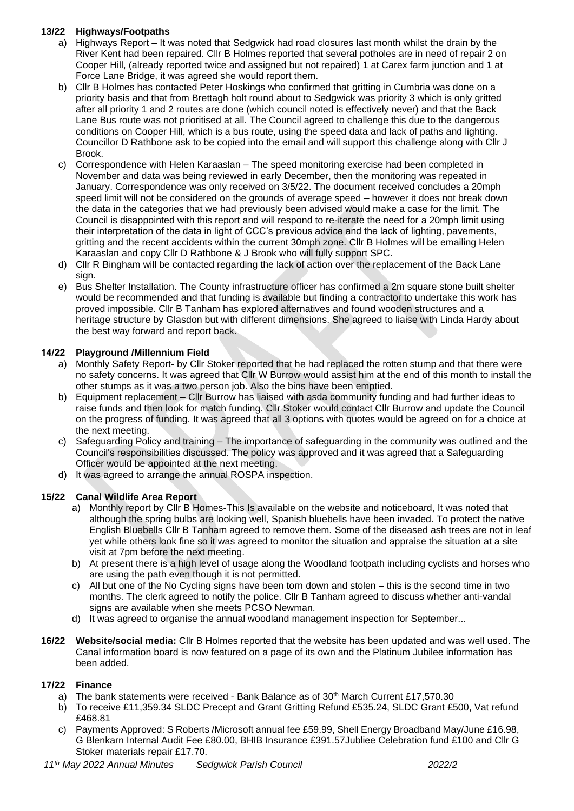## **13/22 Highways/Footpaths**

- a) Highways Report It was noted that Sedgwick had road closures last month whilst the drain by the River Kent had been repaired. Cllr B Holmes reported that several potholes are in need of repair 2 on Cooper Hill, (already reported twice and assigned but not repaired) 1 at Carex farm junction and 1 at Force Lane Bridge, it was agreed she would report them.
- b) Cllr B Holmes has contacted Peter Hoskings who confirmed that gritting in Cumbria was done on a priority basis and that from Brettagh holt round about to Sedgwick was priority 3 which is only gritted after all priority 1 and 2 routes are done (which council noted is effectively never) and that the Back Lane Bus route was not prioritised at all. The Council agreed to challenge this due to the dangerous conditions on Cooper Hill, which is a bus route, using the speed data and lack of paths and lighting. Councillor D Rathbone ask to be copied into the email and will support this challenge along with Cllr J Brook.
- c) Correspondence with Helen Karaaslan The speed monitoring exercise had been completed in November and data was being reviewed in early December, then the monitoring was repeated in January. Correspondence was only received on 3/5/22. The document received concludes a 20mph speed limit will not be considered on the grounds of average speed – however it does not break down the data in the categories that we had previously been advised would make a case for the limit. The Council is disappointed with this report and will respond to re-iterate the need for a 20mph limit using their interpretation of the data in light of CCC's previous advice and the lack of lighting, pavements, gritting and the recent accidents within the current 30mph zone. Cllr B Holmes will be emailing Helen Karaaslan and copy Cllr D Rathbone & J Brook who will fully support SPC.
- d) Cllr R Bingham will be contacted regarding the lack of action over the replacement of the Back Lane sign.
- e) Bus Shelter Installation. The County infrastructure officer has confirmed a 2m square stone built shelter would be recommended and that funding is available but finding a contractor to undertake this work has proved impossible. Cllr B Tanham has explored alternatives and found wooden structures and a heritage structure by Glasdon but with different dimensions. She agreed to liaise with Linda Hardy about the best way forward and report back.

## **14/22 Playground /Millennium Field**

- a) Monthly Safety Report- by Cllr Stoker reported that he had replaced the rotten stump and that there were no safety concerns. It was agreed that Cllr W Burrow would assist him at the end of this month to install the other stumps as it was a two person job. Also the bins have been emptied.
- b) Equipment replacement Cllr Burrow has liaised with asda community funding and had further ideas to raise funds and then look for match funding. Cllr Stoker would contact Cllr Burrow and update the Council on the progress of funding. It was agreed that all 3 options with quotes would be agreed on for a choice at the next meeting.
- c) Safeguarding Policy and training The importance of safeguarding in the community was outlined and the Council's responsibilities discussed. The policy was approved and it was agreed that a Safeguarding Officer would be appointed at the next meeting.
- d) It was agreed to arrange the annual ROSPA inspection.

# **15/22 Canal Wildlife Area Report**

- a) Monthly report by Cllr B Homes-This Is available on the website and noticeboard, It was noted that although the spring bulbs are looking well, Spanish bluebells have been invaded. To protect the native English Bluebells Cllr B Tanham agreed to remove them. Some of the diseased ash trees are not in leaf yet while others look fine so it was agreed to monitor the situation and appraise the situation at a site visit at 7pm before the next meeting.
- b) At present there is a high level of usage along the Woodland footpath including cyclists and horses who are using the path even though it is not permitted.
- c) All but one of the No Cycling signs have been torn down and stolen this is the second time in two months. The clerk agreed to notify the police. Cllr B Tanham agreed to discuss whether anti-vandal signs are available when she meets PCSO Newman.
- d) It was agreed to organise the annual woodland management inspection for September...
- **16/22 Website/social media:** Cllr B Holmes reported that the website has been updated and was well used. The Canal information board is now featured on a page of its own and the Platinum Jubilee information has been added.

### **17/22 Finance**

- a) The bank statements were received Bank Balance as of  $30<sup>th</sup>$  March Current £17,570.30
- b) To receive £11,359.34 SLDC Precept and Grant Gritting Refund £535.24, SLDC Grant £500, Vat refund £468.81
- c) Payments Approved: S Roberts /Microsoft annual fee £59.99, Shell Energy Broadband May/June £16.98, G Blenkarn Internal Audit Fee £80.00, BHIB Insurance £391.57Jubliee Celebration fund £100 and Cllr G Stoker materials repair £17.70.